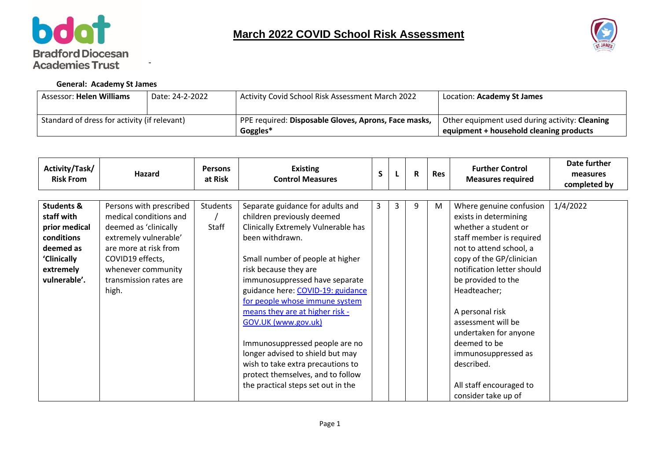



## **General: Academy St James**

-

| <b>Assessor: Helen Williams</b>              | Date: 24-2-2022 | Activity Covid School Risk Assessment March 2022     | Location: Academy St James                     |
|----------------------------------------------|-----------------|------------------------------------------------------|------------------------------------------------|
|                                              |                 |                                                      |                                                |
| Standard of dress for activity (if relevant) |                 | PPE required: Disposable Gloves, Aprons, Face masks, | Other equipment used during activity: Cleaning |
|                                              |                 | Goggles*                                             | equipment + household cleaning products        |

| Activity/Task/<br><b>Risk From</b>                                                                                          | Hazard                                                                                                                                                                                                    | <b>Persons</b><br>at Risk | <b>Existing</b><br><b>Control Measures</b>                                                                                                                                                                                                                                                                                                                                                                                                                                                                                                     | $\mathsf{S}$ |   | $\mathbf R$ | <b>Res</b> | <b>Further Control</b><br><b>Measures required</b>                                                                                                                                                                                                                                                                                                                                                       | Date further<br>measures<br>completed by |
|-----------------------------------------------------------------------------------------------------------------------------|-----------------------------------------------------------------------------------------------------------------------------------------------------------------------------------------------------------|---------------------------|------------------------------------------------------------------------------------------------------------------------------------------------------------------------------------------------------------------------------------------------------------------------------------------------------------------------------------------------------------------------------------------------------------------------------------------------------------------------------------------------------------------------------------------------|--------------|---|-------------|------------|----------------------------------------------------------------------------------------------------------------------------------------------------------------------------------------------------------------------------------------------------------------------------------------------------------------------------------------------------------------------------------------------------------|------------------------------------------|
| <b>Students &amp;</b><br>staff with<br>prior medical<br>conditions<br>deemed as<br>'Clinically<br>extremely<br>vulnerable'. | Persons with prescribed<br>medical conditions and<br>deemed as 'clinically<br>extremely vulnerable'<br>are more at risk from<br>COVID19 effects,<br>whenever community<br>transmission rates are<br>high. | Students<br>Staff         | Separate guidance for adults and<br>children previously deemed<br>Clinically Extremely Vulnerable has<br>been withdrawn.<br>Small number of people at higher<br>risk because they are<br>immunosuppressed have separate<br>guidance here: COVID-19: guidance<br>for people whose immune system<br>means they are at higher risk -<br>GOV.UK (www.gov.uk)<br>Immunosuppressed people are no<br>longer advised to shield but may<br>wish to take extra precautions to<br>protect themselves, and to follow<br>the practical steps set out in the | 3            | 3 | 9           | M          | Where genuine confusion<br>exists in determining<br>whether a student or<br>staff member is required<br>not to attend school, a<br>copy of the GP/clinician<br>notification letter should<br>be provided to the<br>Headteacher;<br>A personal risk<br>assessment will be<br>undertaken for anyone<br>deemed to be<br>immunosuppressed as<br>described.<br>All staff encouraged to<br>consider take up of | 1/4/2022                                 |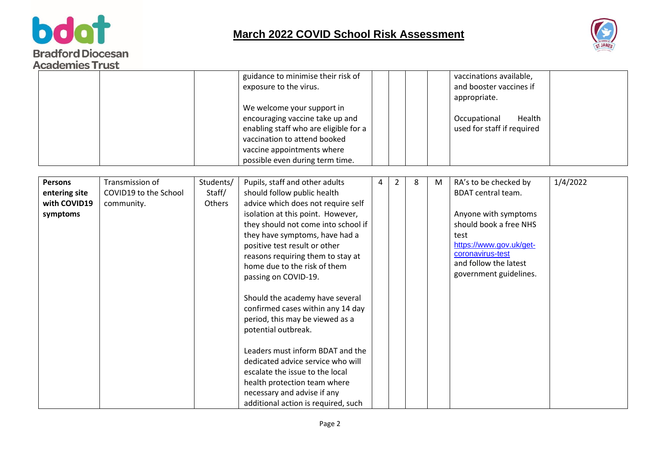



|                                                             |                                                        |                               | guidance to minimise their risk of<br>exposure to the virus.<br>We welcome your support in<br>encouraging vaccine take up and<br>enabling staff who are eligible for a<br>vaccination to attend booked<br>vaccine appointments where<br>possible even during term time.                                                                                                                                                                                                                                                                                                                                                                                                                             |   |   |   |   | vaccinations available,<br>and booster vaccines if<br>appropriate.<br>Occupational<br>Health<br>used for staff if required                                                                                     |          |
|-------------------------------------------------------------|--------------------------------------------------------|-------------------------------|-----------------------------------------------------------------------------------------------------------------------------------------------------------------------------------------------------------------------------------------------------------------------------------------------------------------------------------------------------------------------------------------------------------------------------------------------------------------------------------------------------------------------------------------------------------------------------------------------------------------------------------------------------------------------------------------------------|---|---|---|---|----------------------------------------------------------------------------------------------------------------------------------------------------------------------------------------------------------------|----------|
| <b>Persons</b><br>entering site<br>with COVID19<br>symptoms | Transmission of<br>COVID19 to the School<br>community. | Students/<br>Staff/<br>Others | Pupils, staff and other adults<br>should follow public health<br>advice which does not require self<br>isolation at this point. However,<br>they should not come into school if<br>they have symptoms, have had a<br>positive test result or other<br>reasons requiring them to stay at<br>home due to the risk of them<br>passing on COVID-19.<br>Should the academy have several<br>confirmed cases within any 14 day<br>period, this may be viewed as a<br>potential outbreak.<br>Leaders must inform BDAT and the<br>dedicated advice service who will<br>escalate the issue to the local<br>health protection team where<br>necessary and advise if any<br>additional action is required, such | 4 | 2 | 8 | M | RA's to be checked by<br><b>BDAT</b> central team.<br>Anyone with symptoms<br>should book a free NHS<br>test<br>https://www.gov.uk/get-<br>coronavirus-test<br>and follow the latest<br>government guidelines. | 1/4/2022 |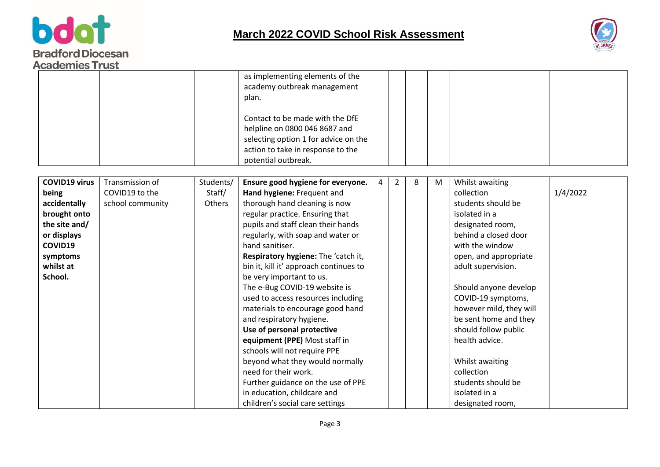



|                                                                                                                                              |                                                       |                               | as implementing elements of the<br>academy outbreak management<br>plan.<br>Contact to be made with the DfE<br>helpline on 0800 046 8687 and<br>selecting option 1 for advice on the<br>action to take in response to the<br>potential outbreak.                                                                                                                                                                                                                                                                                                                                                                                                                                                                                                         |   |                |   |   |                                                                                                                                                                                                                                                                                                                                                                                                                             |          |
|----------------------------------------------------------------------------------------------------------------------------------------------|-------------------------------------------------------|-------------------------------|---------------------------------------------------------------------------------------------------------------------------------------------------------------------------------------------------------------------------------------------------------------------------------------------------------------------------------------------------------------------------------------------------------------------------------------------------------------------------------------------------------------------------------------------------------------------------------------------------------------------------------------------------------------------------------------------------------------------------------------------------------|---|----------------|---|---|-----------------------------------------------------------------------------------------------------------------------------------------------------------------------------------------------------------------------------------------------------------------------------------------------------------------------------------------------------------------------------------------------------------------------------|----------|
| <b>COVID19 virus</b><br>being<br>accidentally<br>brought onto<br>the site and/<br>or displays<br>COVID19<br>symptoms<br>whilst at<br>School. | Transmission of<br>COVID19 to the<br>school community | Students/<br>Staff/<br>Others | Ensure good hygiene for everyone.<br>Hand hygiene: Frequent and<br>thorough hand cleaning is now<br>regular practice. Ensuring that<br>pupils and staff clean their hands<br>regularly, with soap and water or<br>hand sanitiser.<br>Respiratory hygiene: The 'catch it,<br>bin it, kill it' approach continues to<br>be very important to us.<br>The e-Bug COVID-19 website is<br>used to access resources including<br>materials to encourage good hand<br>and respiratory hygiene.<br>Use of personal protective<br>equipment (PPE) Most staff in<br>schools will not require PPE<br>beyond what they would normally<br>need for their work.<br>Further guidance on the use of PPE<br>in education, childcare and<br>children's social care settings | 4 | $\overline{2}$ | 8 | M | Whilst awaiting<br>collection<br>students should be<br>isolated in a<br>designated room,<br>behind a closed door<br>with the window<br>open, and appropriate<br>adult supervision.<br>Should anyone develop<br>COVID-19 symptoms,<br>however mild, they will<br>be sent home and they<br>should follow public<br>health advice.<br>Whilst awaiting<br>collection<br>students should be<br>isolated in a<br>designated room, | 1/4/2022 |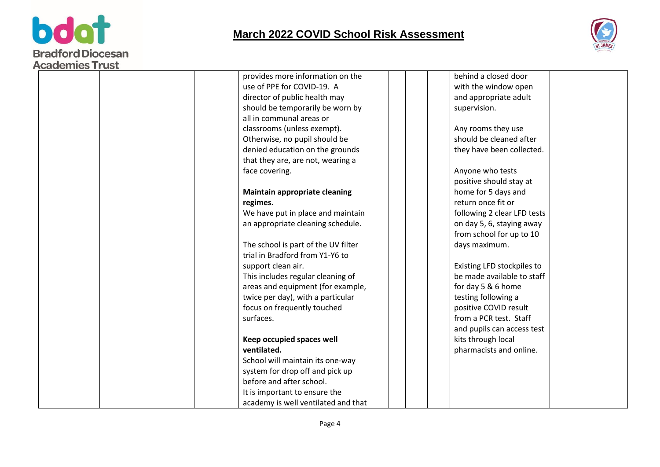



|  | provides more information on the     | behind a closed door        |  |
|--|--------------------------------------|-----------------------------|--|
|  | use of PPE for COVID-19. A           | with the window open        |  |
|  | director of public health may        | and appropriate adult       |  |
|  | should be temporarily be worn by     | supervision.                |  |
|  | all in communal areas or             |                             |  |
|  | classrooms (unless exempt).          | Any rooms they use          |  |
|  | Otherwise, no pupil should be        | should be cleaned after     |  |
|  | denied education on the grounds      | they have been collected.   |  |
|  | that they are, are not, wearing a    |                             |  |
|  | face covering.                       | Anyone who tests            |  |
|  |                                      | positive should stay at     |  |
|  | <b>Maintain appropriate cleaning</b> | home for 5 days and         |  |
|  | regimes.                             | return once fit or          |  |
|  | We have put in place and maintain    | following 2 clear LFD tests |  |
|  | an appropriate cleaning schedule.    | on day 5, 6, staying away   |  |
|  |                                      | from school for up to 10    |  |
|  | The school is part of the UV filter  | days maximum.               |  |
|  | trial in Bradford from Y1-Y6 to      |                             |  |
|  | support clean air.                   | Existing LFD stockpiles to  |  |
|  | This includes regular cleaning of    | be made available to staff  |  |
|  | areas and equipment (for example,    | for day 5 & 6 home          |  |
|  | twice per day), with a particular    | testing following a         |  |
|  | focus on frequently touched          | positive COVID result       |  |
|  | surfaces.                            | from a PCR test. Staff      |  |
|  |                                      | and pupils can access test  |  |
|  | Keep occupied spaces well            | kits through local          |  |
|  | ventilated.                          | pharmacists and online.     |  |
|  | School will maintain its one-way     |                             |  |
|  | system for drop off and pick up      |                             |  |
|  | before and after school.             |                             |  |
|  | It is important to ensure the        |                             |  |
|  | academy is well ventilated and that  |                             |  |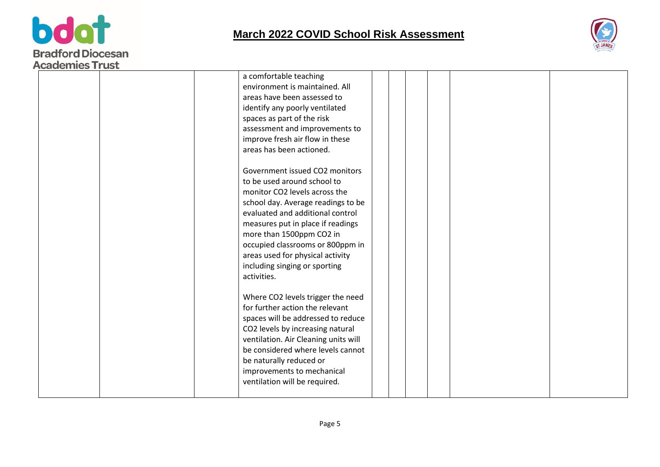



| <b>UCRACILICS IT ASP</b> | a comfortable teaching<br>environment is maintained. All<br>areas have been assessed to<br>identify any poorly ventilated<br>spaces as part of the risk<br>assessment and improvements to<br>improve fresh air flow in these<br>areas has been actioned.<br>Government issued CO2 monitors<br>to be used around school to<br>monitor CO2 levels across the<br>school day. Average readings to be<br>evaluated and additional control<br>measures put in place if readings<br>more than 1500ppm CO2 in<br>occupied classrooms or 800ppm in<br>areas used for physical activity<br>including singing or sporting<br>activities. |  |  |  |  |
|--------------------------|-------------------------------------------------------------------------------------------------------------------------------------------------------------------------------------------------------------------------------------------------------------------------------------------------------------------------------------------------------------------------------------------------------------------------------------------------------------------------------------------------------------------------------------------------------------------------------------------------------------------------------|--|--|--|--|
|                          | Where CO2 levels trigger the need<br>for further action the relevant<br>spaces will be addressed to reduce<br>CO2 levels by increasing natural<br>ventilation. Air Cleaning units will<br>be considered where levels cannot<br>be naturally reduced or<br>improvements to mechanical<br>ventilation will be required.                                                                                                                                                                                                                                                                                                         |  |  |  |  |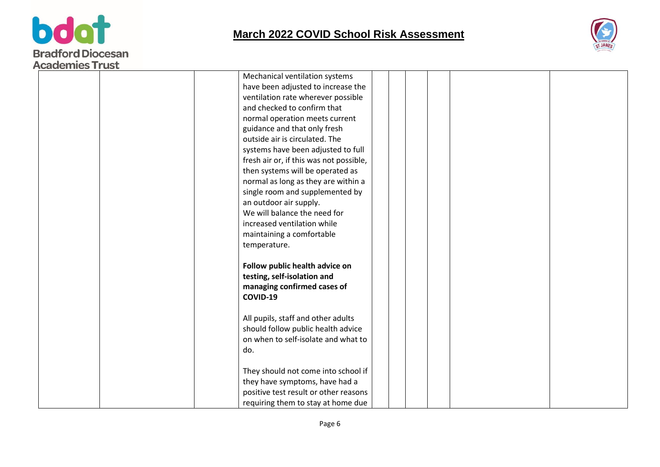



| nuuuniituu iluu |                                         |  |  |
|-----------------|-----------------------------------------|--|--|
|                 | Mechanical ventilation systems          |  |  |
|                 | have been adjusted to increase the      |  |  |
|                 | ventilation rate wherever possible      |  |  |
|                 | and checked to confirm that             |  |  |
|                 | normal operation meets current          |  |  |
|                 | guidance and that only fresh            |  |  |
|                 | outside air is circulated. The          |  |  |
|                 | systems have been adjusted to full      |  |  |
|                 | fresh air or, if this was not possible, |  |  |
|                 | then systems will be operated as        |  |  |
|                 | normal as long as they are within a     |  |  |
|                 | single room and supplemented by         |  |  |
|                 | an outdoor air supply.                  |  |  |
|                 | We will balance the need for            |  |  |
|                 | increased ventilation while             |  |  |
|                 | maintaining a comfortable               |  |  |
|                 | temperature.                            |  |  |
|                 | Follow public health advice on          |  |  |
|                 | testing, self-isolation and             |  |  |
|                 | managing confirmed cases of             |  |  |
|                 | COVID-19                                |  |  |
|                 |                                         |  |  |
|                 | All pupils, staff and other adults      |  |  |
|                 | should follow public health advice      |  |  |
|                 | on when to self-isolate and what to     |  |  |
|                 | do.                                     |  |  |
|                 |                                         |  |  |
|                 | They should not come into school if     |  |  |
|                 | they have symptoms, have had a          |  |  |
|                 | positive test result or other reasons   |  |  |
|                 | requiring them to stay at home due      |  |  |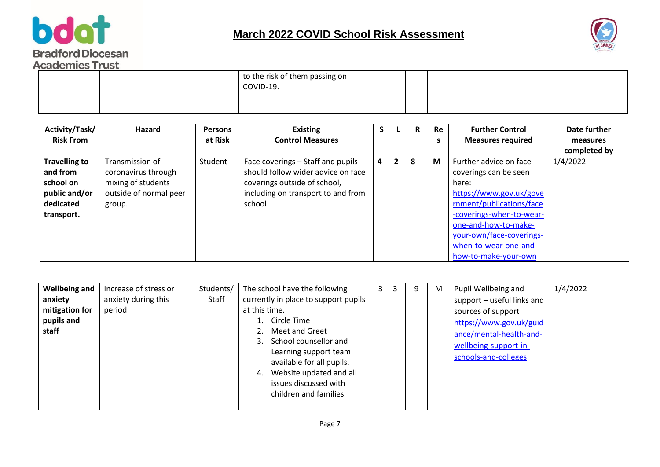



|  | to the risk of them passing on<br>COVID-19. |  |  |  |  |
|--|---------------------------------------------|--|--|--|--|
|  |                                             |  |  |  |  |

| Activity/Task/       | Hazard                 | <b>Persons</b> | <b>Existing</b>                    | э |                | R. | Re | <b>Further Control</b>   | Date further |
|----------------------|------------------------|----------------|------------------------------------|---|----------------|----|----|--------------------------|--------------|
| <b>Risk From</b>     |                        | at Risk        | <b>Control Measures</b>            |   |                |    | s  | <b>Measures required</b> | measures     |
|                      |                        |                |                                    |   |                |    |    |                          | completed by |
| <b>Travelling to</b> | Transmission of        | Student        | Face coverings - Staff and pupils  | 4 | $\overline{2}$ | 8  | M  | Further advice on face   | 1/4/2022     |
| and from             | coronavirus through    |                | should follow wider advice on face |   |                |    |    | coverings can be seen    |              |
| school on            | mixing of students     |                | coverings outside of school,       |   |                |    |    | here:                    |              |
| public and/or        | outside of normal peer |                | including on transport to and from |   |                |    |    | https://www.gov.uk/gove  |              |
| dedicated            | group.                 |                | school.                            |   |                |    |    | rnment/publications/face |              |
| transport.           |                        |                |                                    |   |                |    |    | -coverings-when-to-wear- |              |
|                      |                        |                |                                    |   |                |    |    | one-and-how-to-make-     |              |
|                      |                        |                |                                    |   |                |    |    | your-own/face-coverings- |              |
|                      |                        |                |                                    |   |                |    |    | when-to-wear-one-and-    |              |
|                      |                        |                |                                    |   |                |    |    | how-to-make-your-own     |              |

| issues discussed with<br>children and families | <b>Wellbeing and</b><br>anxiety<br>mitigation for<br>pupils and<br>staff | Increase of stress or<br>anxiety during this<br>period | Students/<br>Staff | The school have the following<br>currently in place to support pupils<br>at this time.<br>Circle Time<br>Meet and Greet<br>School counsellor and<br>Learning support team<br>available for all pupils.<br>Website updated and all | 3 | 3 | 9 | M | Pupil Wellbeing and<br>support - useful links and<br>sources of support<br>https://www.gov.uk/guid<br>ance/mental-health-and-<br>wellbeing-support-in-<br>schools-and-colleges | 1/4/2022 |
|------------------------------------------------|--------------------------------------------------------------------------|--------------------------------------------------------|--------------------|-----------------------------------------------------------------------------------------------------------------------------------------------------------------------------------------------------------------------------------|---|---|---|---|--------------------------------------------------------------------------------------------------------------------------------------------------------------------------------|----------|
|------------------------------------------------|--------------------------------------------------------------------------|--------------------------------------------------------|--------------------|-----------------------------------------------------------------------------------------------------------------------------------------------------------------------------------------------------------------------------------|---|---|---|---|--------------------------------------------------------------------------------------------------------------------------------------------------------------------------------|----------|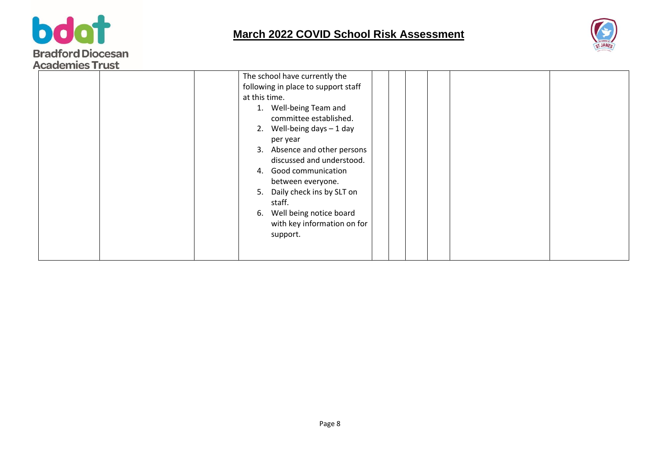



| The school have currently the<br>following in place to support staff<br>at this time.<br>1. Well-being Team and<br>committee established.<br>Well-being days $-1$ day<br>2.                                                                  | ACQUEILIES I LUSL |  |
|----------------------------------------------------------------------------------------------------------------------------------------------------------------------------------------------------------------------------------------------|-------------------|--|
| per year<br>Absence and other persons<br>3.<br>discussed and understood.<br>4. Good communication<br>between everyone.<br>5. Daily check ins by SLT on<br>staff.<br>Well being notice board<br>6.<br>with key information on for<br>support. |                   |  |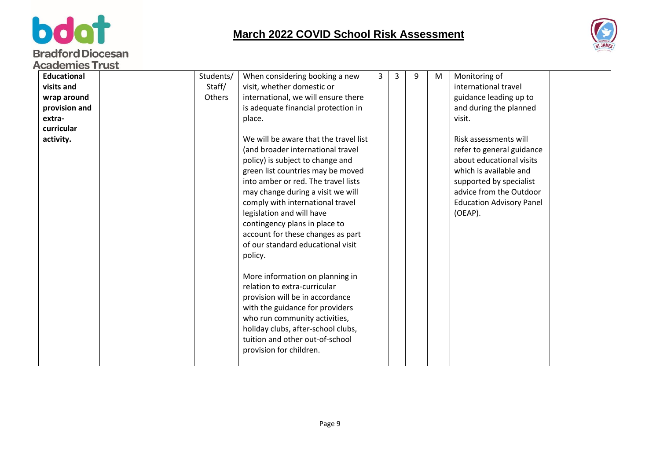



| Students/<br>Monitoring of<br><b>Educational</b><br>When considering booking a new<br>3<br>9<br>3<br>M<br>Staff/<br>visit, whether domestic or<br>international travel<br>visits and<br>Others<br>international, we will ensure there<br>guidance leading up to<br>wrap around<br>provision and<br>is adequate financial protection in<br>and during the planned<br>extra-<br>place.<br>visit.<br>curricular<br>We will be aware that the travel list<br>Risk assessments will<br>activity.<br>refer to general guidance<br>(and broader international travel<br>about educational visits<br>policy) is subject to change and<br>which is available and<br>green list countries may be moved<br>into amber or red. The travel lists<br>supported by specialist<br>advice from the Outdoor<br>may change during a visit we will<br>comply with international travel<br><b>Education Advisory Panel</b><br>legislation and will have<br>(OEAP).<br>contingency plans in place to<br>account for these changes as part<br>of our standard educational visit<br>policy.<br>More information on planning in<br>relation to extra-curricular<br>provision will be in accordance<br>with the guidance for providers<br>who run community activities,<br>holiday clubs, after-school clubs,<br>tuition and other out-of-school<br>provision for children. | Academies Frust |  |  |  |  |
|---------------------------------------------------------------------------------------------------------------------------------------------------------------------------------------------------------------------------------------------------------------------------------------------------------------------------------------------------------------------------------------------------------------------------------------------------------------------------------------------------------------------------------------------------------------------------------------------------------------------------------------------------------------------------------------------------------------------------------------------------------------------------------------------------------------------------------------------------------------------------------------------------------------------------------------------------------------------------------------------------------------------------------------------------------------------------------------------------------------------------------------------------------------------------------------------------------------------------------------------------------------------------------------------------------------------------------------------------|-----------------|--|--|--|--|
|                                                                                                                                                                                                                                                                                                                                                                                                                                                                                                                                                                                                                                                                                                                                                                                                                                                                                                                                                                                                                                                                                                                                                                                                                                                                                                                                                   |                 |  |  |  |  |
|                                                                                                                                                                                                                                                                                                                                                                                                                                                                                                                                                                                                                                                                                                                                                                                                                                                                                                                                                                                                                                                                                                                                                                                                                                                                                                                                                   |                 |  |  |  |  |
|                                                                                                                                                                                                                                                                                                                                                                                                                                                                                                                                                                                                                                                                                                                                                                                                                                                                                                                                                                                                                                                                                                                                                                                                                                                                                                                                                   |                 |  |  |  |  |
|                                                                                                                                                                                                                                                                                                                                                                                                                                                                                                                                                                                                                                                                                                                                                                                                                                                                                                                                                                                                                                                                                                                                                                                                                                                                                                                                                   |                 |  |  |  |  |
|                                                                                                                                                                                                                                                                                                                                                                                                                                                                                                                                                                                                                                                                                                                                                                                                                                                                                                                                                                                                                                                                                                                                                                                                                                                                                                                                                   |                 |  |  |  |  |
|                                                                                                                                                                                                                                                                                                                                                                                                                                                                                                                                                                                                                                                                                                                                                                                                                                                                                                                                                                                                                                                                                                                                                                                                                                                                                                                                                   |                 |  |  |  |  |
|                                                                                                                                                                                                                                                                                                                                                                                                                                                                                                                                                                                                                                                                                                                                                                                                                                                                                                                                                                                                                                                                                                                                                                                                                                                                                                                                                   |                 |  |  |  |  |
|                                                                                                                                                                                                                                                                                                                                                                                                                                                                                                                                                                                                                                                                                                                                                                                                                                                                                                                                                                                                                                                                                                                                                                                                                                                                                                                                                   |                 |  |  |  |  |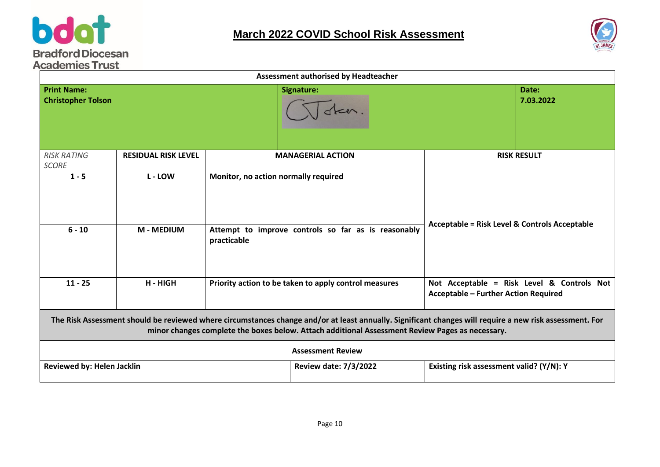



|                                                 |                            |                                                                    | Assessment authorised by Headteacher                                                                                                                                                                                                                       |                                                                                           |                    |
|-------------------------------------------------|----------------------------|--------------------------------------------------------------------|------------------------------------------------------------------------------------------------------------------------------------------------------------------------------------------------------------------------------------------------------------|-------------------------------------------------------------------------------------------|--------------------|
| <b>Print Name:</b><br><b>Christopher Tolson</b> |                            |                                                                    | Signature:<br>steer                                                                                                                                                                                                                                        |                                                                                           | Date:<br>7.03.2022 |
| <b>RISK RATING</b><br><b>SCORE</b>              | <b>RESIDUAL RISK LEVEL</b> | <b>MANAGERIAL ACTION</b>                                           |                                                                                                                                                                                                                                                            | <b>RISK RESULT</b>                                                                        |                    |
| $1 - 5$                                         | L - LOW                    | Monitor, no action normally required                               |                                                                                                                                                                                                                                                            | <b>Acceptable = Risk Level &amp; Controls Acceptable</b>                                  |                    |
| $6 - 10$                                        | <b>M-MEDIUM</b>            | Attempt to improve controls so far as is reasonably<br>practicable |                                                                                                                                                                                                                                                            |                                                                                           |                    |
| $11 - 25$                                       | H - HIGH                   | Priority action to be taken to apply control measures              |                                                                                                                                                                                                                                                            | Not Acceptable = Risk Level & Controls Not<br><b>Acceptable - Further Action Required</b> |                    |
|                                                 |                            |                                                                    | The Risk Assessment should be reviewed where circumstances change and/or at least annually. Significant changes will require a new risk assessment. For<br>minor changes complete the boxes below. Attach additional Assessment Review Pages as necessary. |                                                                                           |                    |
|                                                 |                            |                                                                    | <b>Assessment Review</b>                                                                                                                                                                                                                                   |                                                                                           |                    |
| Reviewed by: Helen Jacklin                      |                            |                                                                    | <b>Review date: 7/3/2022</b>                                                                                                                                                                                                                               | Existing risk assessment valid? (Y/N): Y                                                  |                    |